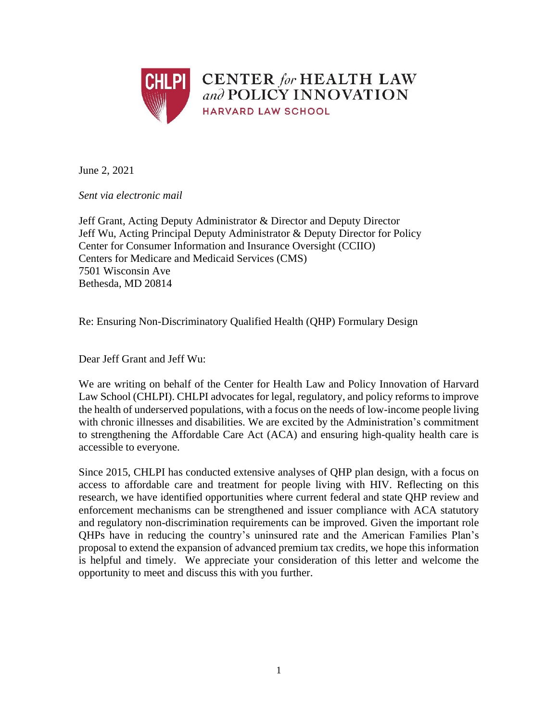

June 2, 2021

*Sent via electronic mail*

Jeff Grant, Acting Deputy Administrator & Director and Deputy Director Jeff Wu, Acting Principal Deputy Administrator & Deputy Director for Policy Center for Consumer Information and Insurance Oversight (CCIIO) Centers for Medicare and Medicaid Services (CMS) 7501 Wisconsin Ave Bethesda, MD 20814

Re: Ensuring Non-Discriminatory Qualified Health (QHP) Formulary Design

Dear Jeff Grant and Jeff Wu:

We are writing on behalf of the Center for Health Law and Policy Innovation of Harvard Law School (CHLPI). CHLPI advocates for legal, regulatory, and policy reforms to improve the health of underserved populations, with a focus on the needs of low-income people living with chronic illnesses and disabilities. We are excited by the Administration's commitment to strengthening the Affordable Care Act (ACA) and ensuring high-quality health care is accessible to everyone.

Since 2015, CHLPI has conducted extensive analyses of QHP plan design, with a focus on access to affordable care and treatment for people living with HIV. Reflecting on this research, we have identified opportunities where current federal and state QHP review and enforcement mechanisms can be strengthened and issuer compliance with ACA statutory and regulatory non-discrimination requirements can be improved. Given the important role QHPs have in reducing the country's uninsured rate and the American Families Plan's proposal to extend the expansion of advanced premium tax credits, we hope this information is helpful and timely. We appreciate your consideration of this letter and welcome the opportunity to meet and discuss this with you further.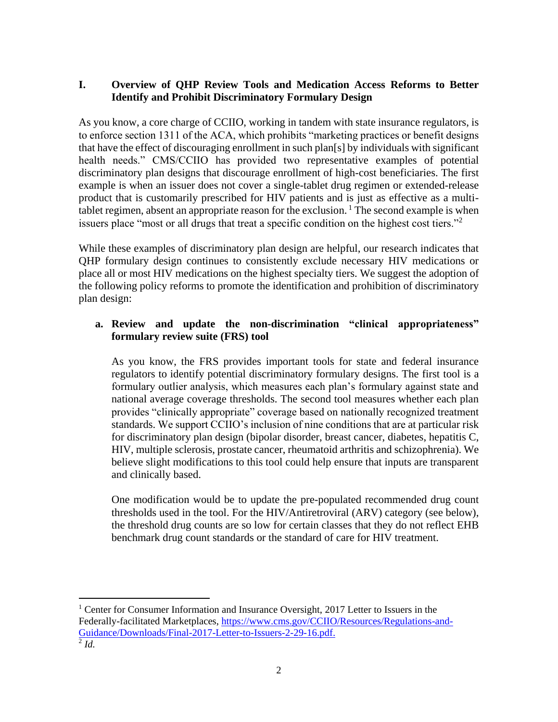# **I. Overview of QHP Review Tools and Medication Access Reforms to Better Identify and Prohibit Discriminatory Formulary Design**

As you know, a core charge of CCIIO, working in tandem with state insurance regulators, is to enforce section 1311 of the ACA, which prohibits "marketing practices or benefit designs that have the effect of discouraging enrollment in such plan[s] by individuals with significant health needs." CMS/CCIIO has provided two representative examples of potential discriminatory plan designs that discourage enrollment of high-cost beneficiaries. The first example is when an issuer does not cover a single-tablet drug regimen or extended-release product that is customarily prescribed for HIV patients and is just as effective as a multitablet regimen, absent an appropriate reason for the exclusion.<sup>1</sup> The second example is when issuers place "most or all drugs that treat a specific condition on the highest cost tiers."<sup>2</sup>

While these examples of discriminatory plan design are helpful, our research indicates that QHP formulary design continues to consistently exclude necessary HIV medications or place all or most HIV medications on the highest specialty tiers. We suggest the adoption of the following policy reforms to promote the identification and prohibition of discriminatory plan design:

### **a. Review and update the non-discrimination "clinical appropriateness" formulary review suite (FRS) tool**

As you know, the FRS provides important tools for state and federal insurance regulators to identify potential discriminatory formulary designs. The first tool is a formulary outlier analysis, which measures each plan's formulary against state and national average coverage thresholds. The second tool measures whether each plan provides "clinically appropriate" coverage based on nationally recognized treatment standards. We support CCIIO's inclusion of nine conditions that are at particular risk for discriminatory plan design (bipolar disorder, breast cancer, diabetes, hepatitis C, HIV, multiple sclerosis, prostate cancer, rheumatoid arthritis and schizophrenia). We believe slight modifications to this tool could help ensure that inputs are transparent and clinically based.

One modification would be to update the pre-populated recommended drug count thresholds used in the tool. For the HIV/Antiretroviral (ARV) category (see below), the threshold drug counts are so low for certain classes that they do not reflect EHB benchmark drug count standards or the standard of care for HIV treatment.

 $\overline{a}$ <sup>1</sup> Center for Consumer Information and Insurance Oversight, 2017 Letter to Issuers in the Federally-facilitated Marketplaces, [https://www.cms.gov/CCIIO/Resources/Regulations-and-](https://www.cms.gov/CCIIO/Resources/Regulations-and-Guidance/Downloads/Final-2017-Letter-to-Issuers-2-29-16.pdf)[Guidance/Downloads/Final-2017-Letter-to-Issuers-2-29-16.pdf.](https://www.cms.gov/CCIIO/Resources/Regulations-and-Guidance/Downloads/Final-2017-Letter-to-Issuers-2-29-16.pdf) 2 *Id.*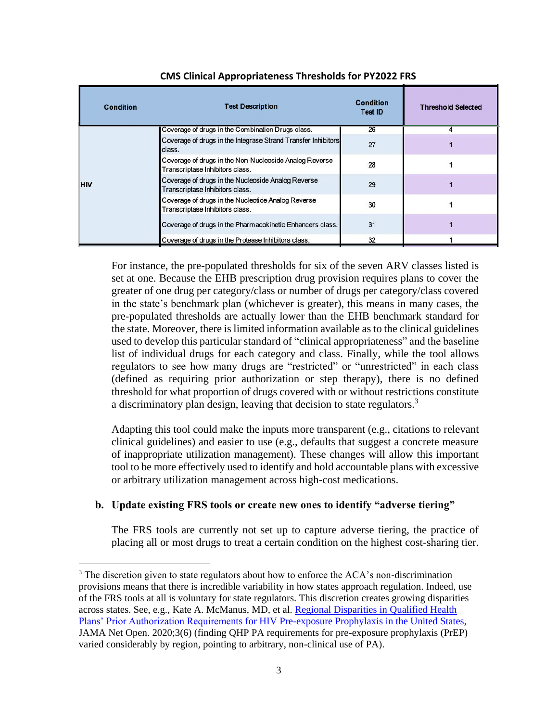| Condition  | <b>Test Description</b>                                                                   | <b>Condition</b><br>Test ID | <b>Threshold Selected</b> |
|------------|-------------------------------------------------------------------------------------------|-----------------------------|---------------------------|
| <b>HIV</b> | Coverage of drugs in the Combination Drugs class.                                         | 26                          | 4                         |
|            | Coverage of drugs in the Integrase Strand Transfer Inhibitors<br>class.                   | 27                          |                           |
|            | Coverage of drugs in the Non-Nucleoside Analog Reverse<br>Transcriptase Inhibitors class. | 28                          |                           |
|            | Coverage of drugs in the Nucleoside Analog Reverse<br>Transcriptase Inhibitors class.     | 29                          |                           |
|            | Coverage of drugs in the Nucleotide Analog Reverse<br>Transcriptase Inhibitors class.     | 30                          |                           |
|            | Coverage of drugs in the Pharmacokinetic Enhancers class.                                 | 31                          |                           |
|            | Coverage of drugs in the Protease Inhibitors class.                                       | 32                          |                           |

#### **CMS Clinical Appropriateness Thresholds for PY2022 FRS**

For instance, the pre-populated thresholds for six of the seven ARV classes listed is set at one. Because the EHB prescription drug provision requires plans to cover the greater of one drug per category/class or number of drugs per category/class covered in the state's benchmark plan (whichever is greater), this means in many cases, the pre-populated thresholds are actually lower than the EHB benchmark standard for the state. Moreover, there is limited information available as to the clinical guidelines used to develop this particular standard of "clinical appropriateness" and the baseline list of individual drugs for each category and class. Finally, while the tool allows regulators to see how many drugs are "restricted" or "unrestricted" in each class (defined as requiring prior authorization or step therapy), there is no defined threshold for what proportion of drugs covered with or without restrictions constitute a discriminatory plan design, leaving that decision to state regulators.<sup>3</sup>

Adapting this tool could make the inputs more transparent (e.g., citations to relevant clinical guidelines) and easier to use (e.g., defaults that suggest a concrete measure of inappropriate utilization management). These changes will allow this important tool to be more effectively used to identify and hold accountable plans with excessive or arbitrary utilization management across high-cost medications.

# **b. Update existing FRS tools or create new ones to identify "adverse tiering"**

The FRS tools are currently not set up to capture adverse tiering, the practice of placing all or most drugs to treat a certain condition on the highest cost-sharing tier.

 $\overline{a}$ 

<sup>&</sup>lt;sup>3</sup> The discretion given to state regulators about how to enforce the ACA's non-discrimination provisions means that there is incredible variability in how states approach regulation. Indeed, use of the FRS tools at all is voluntary for state regulators. This discretion creates growing disparities across states. See, e.g., Kate A. McManus, MD, et al. [Regional Disparities in Qualified Health](https://jamanetwork.com/journals/jamanetworkopen/fullarticle/2766669)  [Plans' Prior Authorization Requirements for HIV Pre-exposure Prophylaxis in the United States,](https://jamanetwork.com/journals/jamanetworkopen/fullarticle/2766669) JAMA Net Open. 2020;3(6) (finding QHP PA requirements for pre-exposure prophylaxis (PrEP) varied considerably by region, pointing to arbitrary, non-clinical use of PA).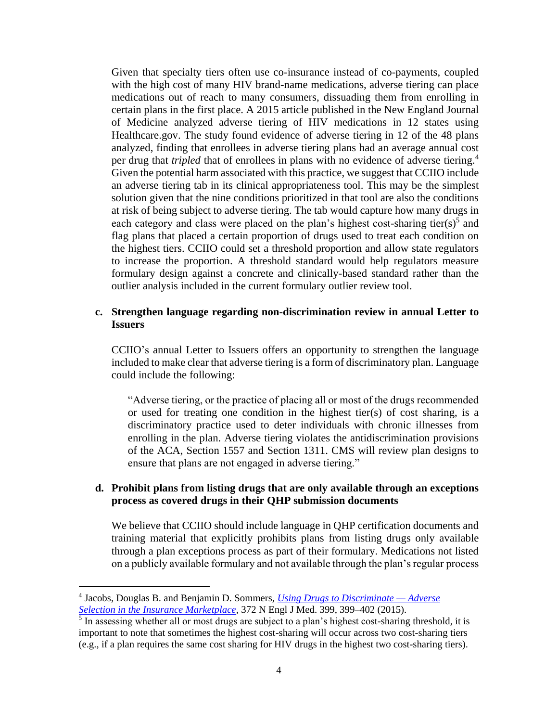Given that specialty tiers often use co-insurance instead of co-payments, coupled with the high cost of many HIV brand-name medications, adverse tiering can place medications out of reach to many consumers, dissuading them from enrolling in certain plans in the first place. A 2015 article published in the New England Journal of Medicine analyzed adverse tiering of HIV medications in 12 states using Healthcare.gov. The study found evidence of adverse tiering in 12 of the 48 plans analyzed, finding that enrollees in adverse tiering plans had an average annual cost per drug that *tripled* that of enrollees in plans with no evidence of adverse tiering.<sup>4</sup> Given the potential harm associated with this practice, we suggest that CCIIO include an adverse tiering tab in its clinical appropriateness tool. This may be the simplest solution given that the nine conditions prioritized in that tool are also the conditions at risk of being subject to adverse tiering. The tab would capture how many drugs in each category and class were placed on the plan's highest cost-sharing tier(s)<sup>5</sup> and flag plans that placed a certain proportion of drugs used to treat each condition on the highest tiers. CCIIO could set a threshold proportion and allow state regulators to increase the proportion. A threshold standard would help regulators measure formulary design against a concrete and clinically-based standard rather than the outlier analysis included in the current formulary outlier review tool.

#### **c. Strengthen language regarding non-discrimination review in annual Letter to Issuers**

CCIIO's annual Letter to Issuers offers an opportunity to strengthen the language included to make clear that adverse tiering is a form of discriminatory plan. Language could include the following:

"Adverse tiering, or the practice of placing all or most of the drugs recommended or used for treating one condition in the highest tier(s) of cost sharing, is a discriminatory practice used to deter individuals with chronic illnesses from enrolling in the plan. Adverse tiering violates the antidiscrimination provisions of the ACA, Section 1557 and Section 1311. CMS will review plan designs to ensure that plans are not engaged in adverse tiering."

### **d. Prohibit plans from listing drugs that are only available through an exceptions process as covered drugs in their QHP submission documents**

We believe that CCIIO should include language in QHP certification documents and training material that explicitly prohibits plans from listing drugs only available through a plan exceptions process as part of their formulary. Medications not listed on a publicly available formulary and not available through the plan's regular process

 $\overline{a}$ 

<sup>4</sup> Jacobs, Douglas B. and Benjamin D. Sommers, *[Using Drugs to Discriminate —](https://dash.harvard.edu/bitstream/handle/1/14008379/nejmp1411376.pdf?sequence=3) Adverse* 

*[Selection in the Insurance Marketplace](https://dash.harvard.edu/bitstream/handle/1/14008379/nejmp1411376.pdf?sequence=3)*, 372 N Engl J Med. 399, 399–402 (2015). 5 In assessing whether all or most drugs are subject to a plan's highest cost-sharing threshold, it is important to note that sometimes the highest cost-sharing will occur across two cost-sharing tiers (e.g., if a plan requires the same cost sharing for HIV drugs in the highest two cost-sharing tiers).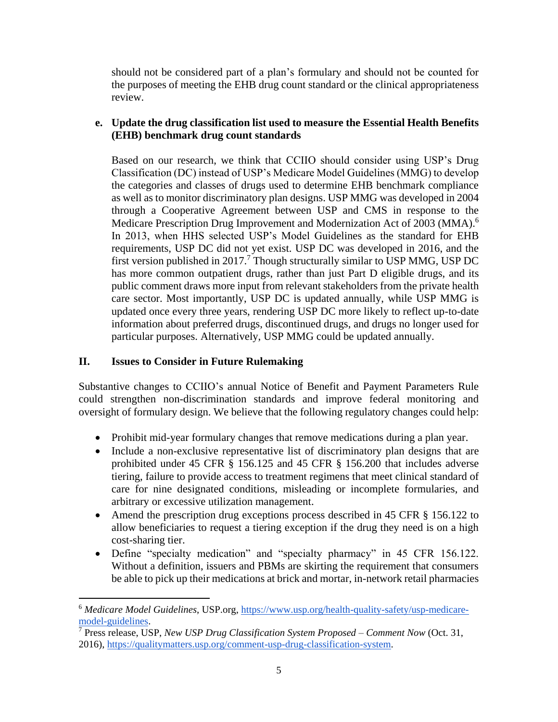should not be considered part of a plan's formulary and should not be counted for the purposes of meeting the EHB drug count standard or the clinical appropriateness review.

# **e. Update the drug classification list used to measure the Essential Health Benefits (EHB) benchmark drug count standards**

Based on our research, we think that CCIIO should consider using USP's Drug Classification (DC) instead of USP's Medicare Model Guidelines (MMG) to develop the categories and classes of drugs used to determine EHB benchmark compliance as well as to monitor discriminatory plan designs. USP MMG was developed in 2004 through a Cooperative Agreement between USP and CMS in response to the Medicare Prescription Drug Improvement and Modernization Act of 2003 (MMA).<sup>6</sup> In 2013, when HHS selected USP's Model Guidelines as the standard for EHB requirements, USP DC did not yet exist. USP DC was developed in 2016, and the first version published in 2017.<sup>7</sup> Though structurally similar to USP MMG, USP DC has more common outpatient drugs, rather than just Part D eligible drugs, and its public comment draws more input from relevant stakeholders from the private health care sector. Most importantly, USP DC is updated annually, while USP MMG is updated once every three years, rendering USP DC more likely to reflect up-to-date information about preferred drugs, discontinued drugs, and drugs no longer used for particular purposes. Alternatively, USP MMG could be updated annually.

# **II. Issues to Consider in Future Rulemaking**

 $\overline{a}$ 

Substantive changes to CCIIO's annual Notice of Benefit and Payment Parameters Rule could strengthen non-discrimination standards and improve federal monitoring and oversight of formulary design. We believe that the following regulatory changes could help:

- Prohibit mid-year formulary changes that remove medications during a plan year.
- Include a non-exclusive representative list of discriminatory plan designs that are prohibited under 45 CFR § 156.125 and 45 CFR § 156.200 that includes adverse tiering, failure to provide access to treatment regimens that meet clinical standard of care for nine designated conditions, misleading or incomplete formularies, and arbitrary or excessive utilization management.
- Amend the prescription drug exceptions process described in 45 CFR § 156.122 to allow beneficiaries to request a tiering exception if the drug they need is on a high cost-sharing tier.
- Define "specialty medication" and "specialty pharmacy" in 45 CFR 156.122. Without a definition, issuers and PBMs are skirting the requirement that consumers be able to pick up their medications at brick and mortar, in-network retail pharmacies

<sup>6</sup> *Medicare Model Guidelines*, USP.org, [https://www.usp.org/health-quality-safety/usp-medicare](https://www.usp.org/health-quality-safety/usp-medicare-model-guidelines)[model-guidelines.](https://www.usp.org/health-quality-safety/usp-medicare-model-guidelines)

<sup>7</sup> Press release, USP, *New USP Drug Classification System Proposed – Comment Now* (Oct. 31, 2016), [https://qualitymatters.usp.org/comment-usp-drug-classification-system.](https://qualitymatters.usp.org/comment-usp-drug-classification-system)